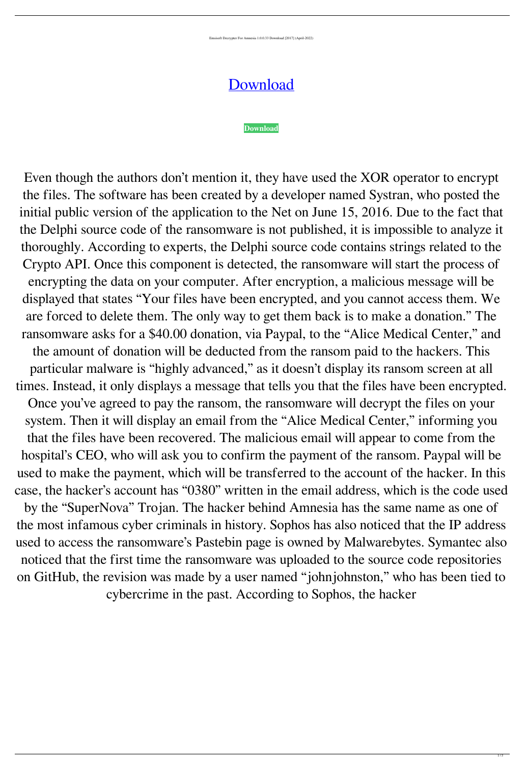Emsisoft Decrypter For Amnesia 1.0.0.33 Download [2017] (April-2022)

## [Download](http://evacdir.com/backhanded/RW1zaXNvZnQgRGVjcnlwdGVyIGZvciBBbW5lc2lhIDEuMC4wLjMzIERvd25sb2FkIFsyMDE3XQRW1?ZG93bmxvYWR8a1M3ZDJNNGZId3hOalV5TkRZek1EVXdmSHd5TlRjMGZId29UU2tnY21WaFpDMWliRzluSUZ0R1lYTjBJRWRGVGww=bunkhouse&copd=sabine/wicketkeeping)

## **[Download](http://evacdir.com/backhanded/RW1zaXNvZnQgRGVjcnlwdGVyIGZvciBBbW5lc2lhIDEuMC4wLjMzIERvd25sb2FkIFsyMDE3XQRW1?ZG93bmxvYWR8a1M3ZDJNNGZId3hOalV5TkRZek1EVXdmSHd5TlRjMGZId29UU2tnY21WaFpDMWliRzluSUZ0R1lYTjBJRWRGVGww=bunkhouse&copd=sabine/wicketkeeping)**

Even though the authors don't mention it, they have used the XOR operator to encrypt the files. The software has been created by a developer named Systran, who posted the initial public version of the application to the Net on June 15, 2016. Due to the fact that the Delphi source code of the ransomware is not published, it is impossible to analyze it thoroughly. According to experts, the Delphi source code contains strings related to the Crypto API. Once this component is detected, the ransomware will start the process of encrypting the data on your computer. After encryption, a malicious message will be displayed that states "Your files have been encrypted, and you cannot access them. We are forced to delete them. The only way to get them back is to make a donation." The ransomware asks for a \$40.00 donation, via Paypal, to the "Alice Medical Center," and the amount of donation will be deducted from the ransom paid to the hackers. This particular malware is "highly advanced," as it doesn't display its ransom screen at all times. Instead, it only displays a message that tells you that the files have been encrypted. Once you've agreed to pay the ransom, the ransomware will decrypt the files on your system. Then it will display an email from the "Alice Medical Center," informing you that the files have been recovered. The malicious email will appear to come from the hospital's CEO, who will ask you to confirm the payment of the ransom. Paypal will be used to make the payment, which will be transferred to the account of the hacker. In this case, the hacker's account has "0380" written in the email address, which is the code used by the "SuperNova" Trojan. The hacker behind Amnesia has the same name as one of the most infamous cyber criminals in history. Sophos has also noticed that the IP address used to access the ransomware's Pastebin page is owned by Malwarebytes. Symantec also noticed that the first time the ransomware was uploaded to the source code repositories on GitHub, the revision was made by a user named "johnjohnston," who has been tied to cybercrime in the past. According to Sophos, the hacker